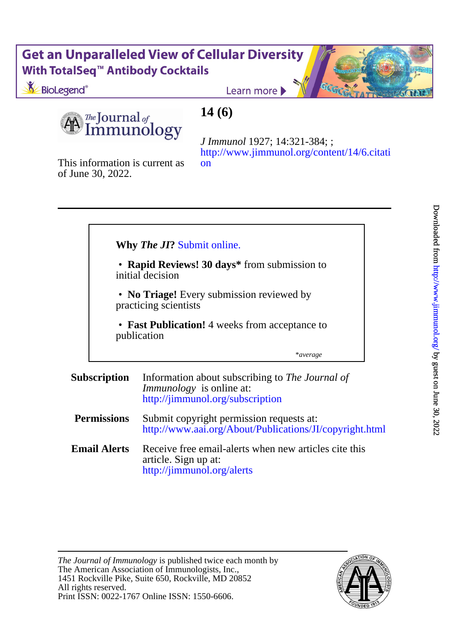# **Get an Unparalleled View of Cellular Diversity** With TotalSeq<sup>™</sup> Antibody Cocktails

BioLegend<sup>®</sup>

Learn more



# **14 (6)**

[on](http://www.jimmunol.org/content/14/6.citation) [http://www.jimmunol.org/content/14/6.citati](http://www.jimmunol.org/content/14/6.citation) *J Immunol* 1927; 14:321-384; ;

of June 30, 2022. This information is current as

|                     | <b>Why The JI? Submit online.</b>                                  |                                                                                                                        |  |  |  |  |  |  |
|---------------------|--------------------------------------------------------------------|------------------------------------------------------------------------------------------------------------------------|--|--|--|--|--|--|
|                     | • Rapid Reviews! 30 days* from submission to<br>initial decision   |                                                                                                                        |  |  |  |  |  |  |
|                     | • No Triage! Every submission reviewed by<br>practicing scientists |                                                                                                                        |  |  |  |  |  |  |
|                     | • Fast Publication! 4 weeks from acceptance to<br>publication      |                                                                                                                        |  |  |  |  |  |  |
|                     |                                                                    | *average                                                                                                               |  |  |  |  |  |  |
| <b>Subscription</b> |                                                                    | Information about subscribing to The Journal of<br><i>Immunology</i> is online at:<br>http://jimmunol.org/subscription |  |  |  |  |  |  |
| <b>Permissions</b>  |                                                                    | Submit copyright permission requests at:<br>http://www.aai.org/About/Publications/JI/copyright.html                    |  |  |  |  |  |  |
|                     | <b>Email Alerts</b>                                                | Receive free email-alerts when new articles cite this<br>article. Sign up at:<br>http://jimmunol.org/alerts            |  |  |  |  |  |  |

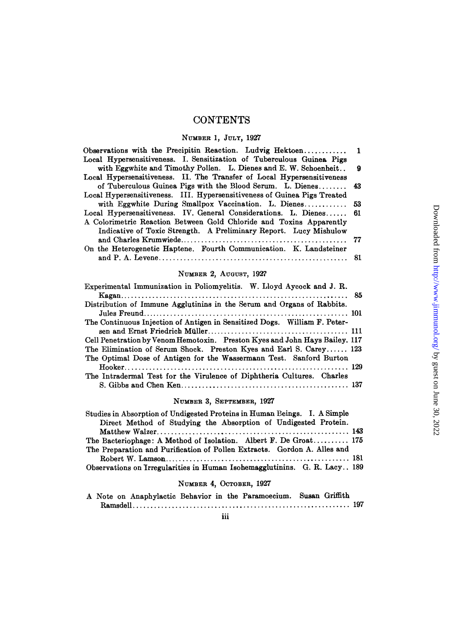# CONTENTS

### NUMBER 1, JULY, 1927

| Observations with the Precipitin Reaction. Ludvig Hektoen 1              |     |
|--------------------------------------------------------------------------|-----|
| Local Hypersensitiveness. I. Sensitization of Tuberculous Guinea Pigs    |     |
| with Eggwhite and Timothy Pollen. L. Dienes and E. W. Schoenheit         | - 9 |
| Local Hypersensitiveness. II. The Transfer of Local Hypersensitiveness   |     |
| of Tuberculous Guinea Pigs with the Blood Serum. L. Dienes $43$          |     |
| Local Hypersensitiveness. III. Hypersensitiveness of Guinea Pigs Treated |     |
| with Eggwhite During Smallpox Vaccination. L. Dienes 53                  |     |
| Local Hypersensitiveness. IV. General Considerations. L. Dienes 61       |     |
| A Colorimetric Reaction Between Gold Chloride and Toxins Apparently      |     |
| Indicative of Toxic Strength. A Preliminary Report. Lucy Mishulow        |     |
|                                                                          |     |
| On the Heterogenetic Haptene. Fourth Communication. K. Landsteiner       |     |
|                                                                          |     |

#### NUMBER 2, AUGUST, 1927

| Cell Penetration by Venom Hemotoxin. Preston Kyes and John Hays Bailey. 117 |
|-----------------------------------------------------------------------------|
| The Elimination of Serum Shock. Preston Kyes and Earl S. Carey 123          |
|                                                                             |
|                                                                             |
|                                                                             |
|                                                                             |
|                                                                             |

## NUMBER 3, SEPTEMBER, 1927

| Studies in Absorption of Undigested Proteins in Human Beings. I. A Simple |  |
|---------------------------------------------------------------------------|--|
| Direct Method of Studying the Absorption of Undigested Protein.           |  |
|                                                                           |  |
| The Bacteriophage: A Method of Isolation. Albert F. De Groat 175          |  |
| The Preparation and Purification of Pollen Extracts. Gordon A. Alles and  |  |
|                                                                           |  |
| Observations on Irregularities in Human Isohemagglutinins. G. R. Lacy 189 |  |

#### NUMBER 4, OCTOBER, 1927

|  |  |  |  | A Note on Anaphylactic Behavior in the Paramoecium. Susan Griffith |  |  |
|--|--|--|--|--------------------------------------------------------------------|--|--|
|  |  |  |  |                                                                    |  |  |